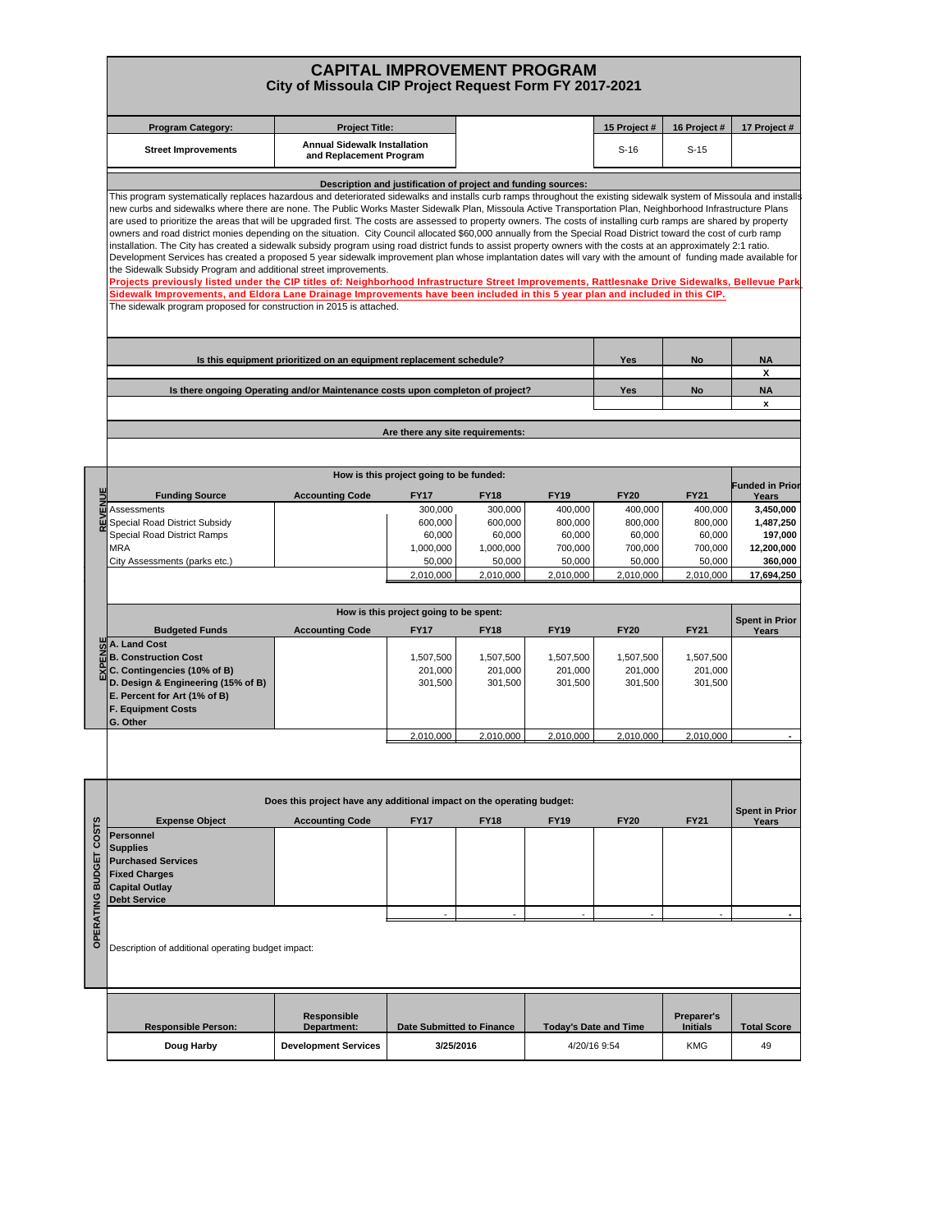## **CAPITAL IMPROVEMENT PROGRAM City of Missoula CIP Project Request Form FY 2017-2021**

|                        | <b>Program Category:</b>                                                                                                                                                                                                                                                                                                                                                                                                                                                                                                                                                                                                                                                                                                                                                                                                                                                                                                                                                                                                                                                                                                                                                                                                                                                                                                                                                                                                                       | <b>Project Title:</b>                                                 |                                        |                     |                              | 15 Project #      | 16 Project #      | 17 Project #             |  |  |  |  |  |
|------------------------|------------------------------------------------------------------------------------------------------------------------------------------------------------------------------------------------------------------------------------------------------------------------------------------------------------------------------------------------------------------------------------------------------------------------------------------------------------------------------------------------------------------------------------------------------------------------------------------------------------------------------------------------------------------------------------------------------------------------------------------------------------------------------------------------------------------------------------------------------------------------------------------------------------------------------------------------------------------------------------------------------------------------------------------------------------------------------------------------------------------------------------------------------------------------------------------------------------------------------------------------------------------------------------------------------------------------------------------------------------------------------------------------------------------------------------------------|-----------------------------------------------------------------------|----------------------------------------|---------------------|------------------------------|-------------------|-------------------|--------------------------|--|--|--|--|--|
|                        | <b>Street Improvements</b>                                                                                                                                                                                                                                                                                                                                                                                                                                                                                                                                                                                                                                                                                                                                                                                                                                                                                                                                                                                                                                                                                                                                                                                                                                                                                                                                                                                                                     | <b>Annual Sidewalk Installation</b><br>and Replacement Program        |                                        |                     |                              | $S-16$            | $S-15$            |                          |  |  |  |  |  |
|                        | Description and justification of project and funding sources:                                                                                                                                                                                                                                                                                                                                                                                                                                                                                                                                                                                                                                                                                                                                                                                                                                                                                                                                                                                                                                                                                                                                                                                                                                                                                                                                                                                  |                                                                       |                                        |                     |                              |                   |                   |                          |  |  |  |  |  |
|                        | This program systematically replaces hazardous and deteriorated sidewalks and installs curb ramps throughout the existing sidewalk system of Missoula and installs<br>new curbs and sidewalks where there are none. The Public Works Master Sidewalk Plan, Missoula Active Transportation Plan, Neighborhood Infrastructure Plans<br>are used to prioritize the areas that will be upgraded first. The costs are assessed to property owners. The costs of installing curb ramps are shared by property<br>owners and road district monies depending on the situation. City Council allocated \$60,000 annually from the Special Road District toward the cost of curb ramp<br>installation. The City has created a sidewalk subsidy program using road district funds to assist property owners with the costs at an approximately 2:1 ratio.<br>Development Services has created a proposed 5 year sidewalk improvement plan whose implantation dates will vary with the amount of funding made available for<br>the Sidewalk Subsidy Program and additional street improvements.<br>Projects previously listed under the CIP titles of: Neighborhood Infrastructure Street Improvements, Rattlesnake Drive Sidewalks, Bellevue Park<br>Sidewalk Improvements, and Eldora Lane Drainage Improvements have been included in this 5 year plan and included in this CIP.<br>The sidewalk program proposed for construction in 2015 is attached. |                                                                       |                                        |                     |                              |                   |                   |                          |  |  |  |  |  |
|                        | Is this equipment prioritized on an equipment replacement schedule?                                                                                                                                                                                                                                                                                                                                                                                                                                                                                                                                                                                                                                                                                                                                                                                                                                                                                                                                                                                                                                                                                                                                                                                                                                                                                                                                                                            | Yes                                                                   | No                                     | <b>NA</b><br>x      |                              |                   |                   |                          |  |  |  |  |  |
|                        | Is there ongoing Operating and/or Maintenance costs upon completon of project?                                                                                                                                                                                                                                                                                                                                                                                                                                                                                                                                                                                                                                                                                                                                                                                                                                                                                                                                                                                                                                                                                                                                                                                                                                                                                                                                                                 | Yes                                                                   | <b>No</b>                              | <b>NA</b><br>x      |                              |                   |                   |                          |  |  |  |  |  |
|                        |                                                                                                                                                                                                                                                                                                                                                                                                                                                                                                                                                                                                                                                                                                                                                                                                                                                                                                                                                                                                                                                                                                                                                                                                                                                                                                                                                                                                                                                |                                                                       |                                        |                     |                              |                   |                   |                          |  |  |  |  |  |
|                        | Are there any site requirements:                                                                                                                                                                                                                                                                                                                                                                                                                                                                                                                                                                                                                                                                                                                                                                                                                                                                                                                                                                                                                                                                                                                                                                                                                                                                                                                                                                                                               |                                                                       |                                        |                     |                              |                   |                   |                          |  |  |  |  |  |
|                        |                                                                                                                                                                                                                                                                                                                                                                                                                                                                                                                                                                                                                                                                                                                                                                                                                                                                                                                                                                                                                                                                                                                                                                                                                                                                                                                                                                                                                                                | How is this project going to be funded:                               |                                        |                     |                              |                   |                   |                          |  |  |  |  |  |
|                        | <b>Funding Source</b>                                                                                                                                                                                                                                                                                                                                                                                                                                                                                                                                                                                                                                                                                                                                                                                                                                                                                                                                                                                                                                                                                                                                                                                                                                                                                                                                                                                                                          | <b>Accounting Code</b>                                                | <b>FY17</b>                            | <b>FY18</b>         | <b>FY19</b>                  | <b>FY20</b>       | <b>FY21</b>       | Funded in Prior<br>Years |  |  |  |  |  |
|                        | Assessments                                                                                                                                                                                                                                                                                                                                                                                                                                                                                                                                                                                                                                                                                                                                                                                                                                                                                                                                                                                                                                                                                                                                                                                                                                                                                                                                                                                                                                    |                                                                       | 300,000                                | 300,000             | 400,000                      | 400,000           | 400,000           | 3,450,000                |  |  |  |  |  |
|                        | Special Road District Subsidy                                                                                                                                                                                                                                                                                                                                                                                                                                                                                                                                                                                                                                                                                                                                                                                                                                                                                                                                                                                                                                                                                                                                                                                                                                                                                                                                                                                                                  |                                                                       | 600.000                                | 600,000             | 800,000                      | 800,000           | 800,000           | 1,487,250                |  |  |  |  |  |
|                        | Special Road District Ramps<br><b>MRA</b>                                                                                                                                                                                                                                                                                                                                                                                                                                                                                                                                                                                                                                                                                                                                                                                                                                                                                                                                                                                                                                                                                                                                                                                                                                                                                                                                                                                                      |                                                                       | 60,000<br>1,000,000                    | 60,000<br>1,000,000 | 60,000<br>700,000            | 60,000<br>700,000 | 60,000<br>700,000 | 197,000<br>12,200,000    |  |  |  |  |  |
|                        | City Assessments (parks etc.)                                                                                                                                                                                                                                                                                                                                                                                                                                                                                                                                                                                                                                                                                                                                                                                                                                                                                                                                                                                                                                                                                                                                                                                                                                                                                                                                                                                                                  |                                                                       | 50,000                                 | 50,000              | 50,000                       | 50,000            | 50,000            | 360,000                  |  |  |  |  |  |
|                        |                                                                                                                                                                                                                                                                                                                                                                                                                                                                                                                                                                                                                                                                                                                                                                                                                                                                                                                                                                                                                                                                                                                                                                                                                                                                                                                                                                                                                                                |                                                                       | 2,010,000                              | 2,010,000           | 2.010.000                    | 2,010,000         | 2,010,000         | 17,694,250               |  |  |  |  |  |
|                        |                                                                                                                                                                                                                                                                                                                                                                                                                                                                                                                                                                                                                                                                                                                                                                                                                                                                                                                                                                                                                                                                                                                                                                                                                                                                                                                                                                                                                                                |                                                                       |                                        |                     |                              |                   |                   |                          |  |  |  |  |  |
|                        |                                                                                                                                                                                                                                                                                                                                                                                                                                                                                                                                                                                                                                                                                                                                                                                                                                                                                                                                                                                                                                                                                                                                                                                                                                                                                                                                                                                                                                                |                                                                       | How is this project going to be spent: |                     |                              |                   |                   | <b>Spent in Prior</b>    |  |  |  |  |  |
|                        | <b>Budgeted Funds</b><br>A. Land Cost                                                                                                                                                                                                                                                                                                                                                                                                                                                                                                                                                                                                                                                                                                                                                                                                                                                                                                                                                                                                                                                                                                                                                                                                                                                                                                                                                                                                          | <b>Accounting Code</b>                                                | <b>FY17</b>                            | <b>FY18</b>         | <b>FY19</b>                  | <b>FY20</b>       | <b>FY21</b>       | Years                    |  |  |  |  |  |
|                        | <b>B. Construction Cost</b>                                                                                                                                                                                                                                                                                                                                                                                                                                                                                                                                                                                                                                                                                                                                                                                                                                                                                                                                                                                                                                                                                                                                                                                                                                                                                                                                                                                                                    |                                                                       | 1,507,500                              | 1,507,500           | 1,507,500                    | 1,507,500         | 1,507,500         |                          |  |  |  |  |  |
|                        | C. Contingencies (10% of B)                                                                                                                                                                                                                                                                                                                                                                                                                                                                                                                                                                                                                                                                                                                                                                                                                                                                                                                                                                                                                                                                                                                                                                                                                                                                                                                                                                                                                    |                                                                       | 201,000                                | 201,000             | 201,000                      | 201,000           | 201,000           |                          |  |  |  |  |  |
|                        | D. Design & Engineering (15% of B)                                                                                                                                                                                                                                                                                                                                                                                                                                                                                                                                                                                                                                                                                                                                                                                                                                                                                                                                                                                                                                                                                                                                                                                                                                                                                                                                                                                                             |                                                                       | 301,500                                | 301,500             | 301,500                      | 301,500           | 301,500           |                          |  |  |  |  |  |
|                        | E. Percent for Art (1% of B)                                                                                                                                                                                                                                                                                                                                                                                                                                                                                                                                                                                                                                                                                                                                                                                                                                                                                                                                                                                                                                                                                                                                                                                                                                                                                                                                                                                                                   |                                                                       |                                        |                     |                              |                   |                   |                          |  |  |  |  |  |
|                        | <b>F. Equipment Costs</b><br>G. Other                                                                                                                                                                                                                                                                                                                                                                                                                                                                                                                                                                                                                                                                                                                                                                                                                                                                                                                                                                                                                                                                                                                                                                                                                                                                                                                                                                                                          |                                                                       |                                        |                     |                              |                   |                   |                          |  |  |  |  |  |
|                        |                                                                                                                                                                                                                                                                                                                                                                                                                                                                                                                                                                                                                                                                                                                                                                                                                                                                                                                                                                                                                                                                                                                                                                                                                                                                                                                                                                                                                                                |                                                                       | 2,010,000                              | 2,010,000           | 2,010,000                    | 2.010.000         | 2,010,000         |                          |  |  |  |  |  |
|                        |                                                                                                                                                                                                                                                                                                                                                                                                                                                                                                                                                                                                                                                                                                                                                                                                                                                                                                                                                                                                                                                                                                                                                                                                                                                                                                                                                                                                                                                |                                                                       |                                        |                     |                              |                   |                   |                          |  |  |  |  |  |
|                        |                                                                                                                                                                                                                                                                                                                                                                                                                                                                                                                                                                                                                                                                                                                                                                                                                                                                                                                                                                                                                                                                                                                                                                                                                                                                                                                                                                                                                                                |                                                                       |                                        |                     |                              |                   |                   |                          |  |  |  |  |  |
|                        |                                                                                                                                                                                                                                                                                                                                                                                                                                                                                                                                                                                                                                                                                                                                                                                                                                                                                                                                                                                                                                                                                                                                                                                                                                                                                                                                                                                                                                                | Does this project have any additional impact on the operating budget: |                                        |                     |                              |                   |                   | <b>Spent in Prior</b>    |  |  |  |  |  |
|                        | <b>Expense Object</b>                                                                                                                                                                                                                                                                                                                                                                                                                                                                                                                                                                                                                                                                                                                                                                                                                                                                                                                                                                                                                                                                                                                                                                                                                                                                                                                                                                                                                          | <b>Accounting Code</b>                                                | <b>FY17</b>                            | <b>FY18</b>         | <b>FY19</b>                  | <b>FY20</b>       | <b>FY21</b>       | Years                    |  |  |  |  |  |
| OPERATING BUDGET COSTS | <b>Personnel</b><br><b>Supplies</b><br><b>Purchased Services</b><br><b>Fixed Charges</b><br><b>Capital Outlay</b><br><b>Debt Service</b>                                                                                                                                                                                                                                                                                                                                                                                                                                                                                                                                                                                                                                                                                                                                                                                                                                                                                                                                                                                                                                                                                                                                                                                                                                                                                                       |                                                                       |                                        |                     |                              |                   |                   |                          |  |  |  |  |  |
|                        | Description of additional operating budget impact:                                                                                                                                                                                                                                                                                                                                                                                                                                                                                                                                                                                                                                                                                                                                                                                                                                                                                                                                                                                                                                                                                                                                                                                                                                                                                                                                                                                             |                                                                       |                                        |                     |                              |                   |                   |                          |  |  |  |  |  |
|                        |                                                                                                                                                                                                                                                                                                                                                                                                                                                                                                                                                                                                                                                                                                                                                                                                                                                                                                                                                                                                                                                                                                                                                                                                                                                                                                                                                                                                                                                | Responsible                                                           |                                        |                     |                              |                   | Preparer's        |                          |  |  |  |  |  |
|                        | <b>Responsible Person:</b>                                                                                                                                                                                                                                                                                                                                                                                                                                                                                                                                                                                                                                                                                                                                                                                                                                                                                                                                                                                                                                                                                                                                                                                                                                                                                                                                                                                                                     | Department:                                                           | <b>Date Submitted to Finance</b>       |                     | <b>Today's Date and Time</b> |                   | <b>Initials</b>   | <b>Total Score</b>       |  |  |  |  |  |
|                        | Doug Harby                                                                                                                                                                                                                                                                                                                                                                                                                                                                                                                                                                                                                                                                                                                                                                                                                                                                                                                                                                                                                                                                                                                                                                                                                                                                                                                                                                                                                                     | <b>Development Services</b>                                           | 3/25/2016                              |                     | 4/20/16 9:54                 |                   | <b>KMG</b>        | 49                       |  |  |  |  |  |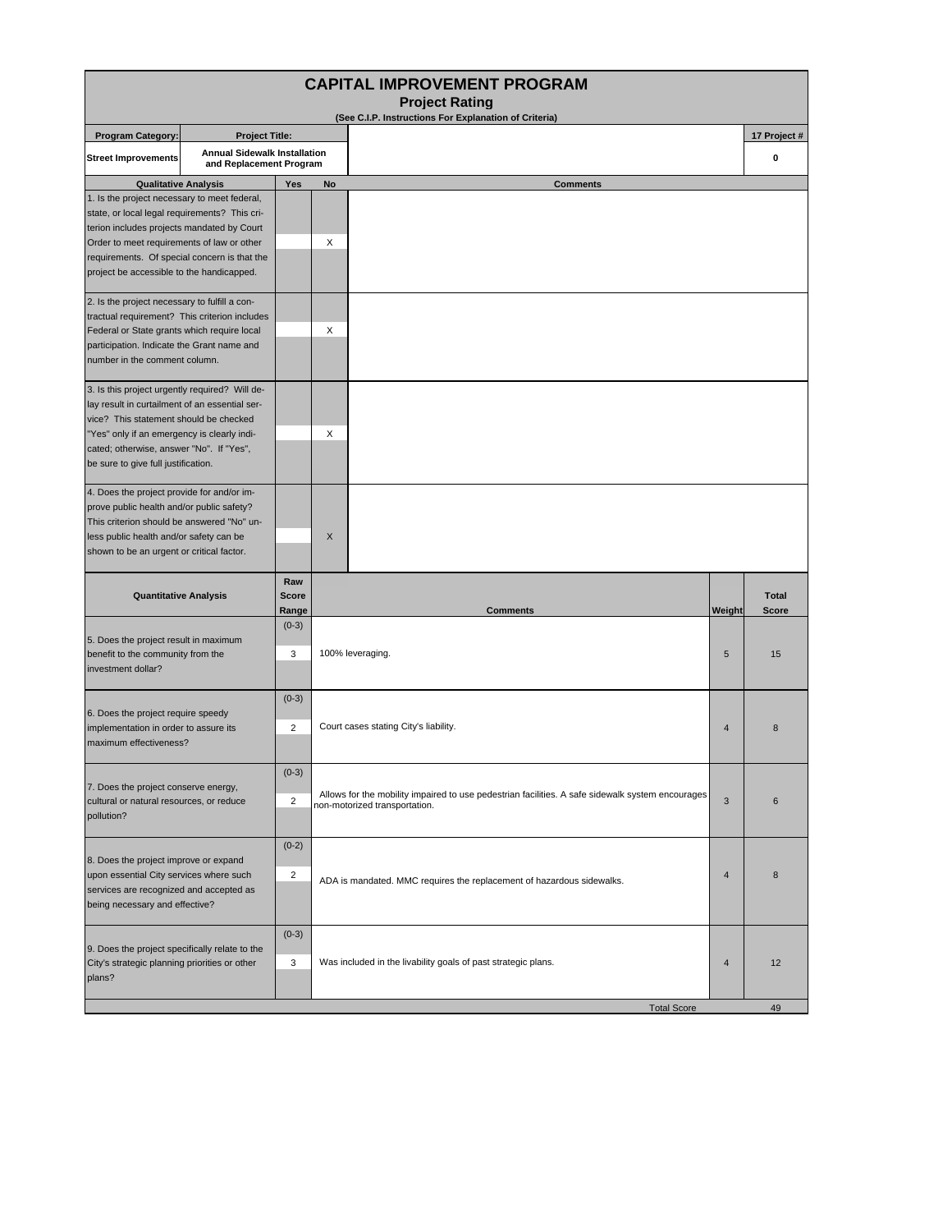| <b>CAPITAL IMPROVEMENT PROGRAM</b><br><b>Project Rating</b>                                                                                                                                                                                                                            |                                                                                                                                                                                                                                                        |                              |                                                                                                                                   |                |                              |  |  |  |  |  |  |  |
|----------------------------------------------------------------------------------------------------------------------------------------------------------------------------------------------------------------------------------------------------------------------------------------|--------------------------------------------------------------------------------------------------------------------------------------------------------------------------------------------------------------------------------------------------------|------------------------------|-----------------------------------------------------------------------------------------------------------------------------------|----------------|------------------------------|--|--|--|--|--|--|--|
|                                                                                                                                                                                                                                                                                        | (See C.I.P. Instructions For Explanation of Criteria)                                                                                                                                                                                                  |                              |                                                                                                                                   |                |                              |  |  |  |  |  |  |  |
| <b>Program Category:</b>                                                                                                                                                                                                                                                               | <b>Project Title:</b><br><b>Annual Sidewalk Installation</b>                                                                                                                                                                                           |                              |                                                                                                                                   |                | 17 Project #                 |  |  |  |  |  |  |  |
| <b>Street Improvements</b>                                                                                                                                                                                                                                                             | and Replacement Program                                                                                                                                                                                                                                |                              |                                                                                                                                   |                | 0                            |  |  |  |  |  |  |  |
| <b>Qualitative Analysis</b>                                                                                                                                                                                                                                                            |                                                                                                                                                                                                                                                        | Yes                          | <b>Comments</b><br><b>No</b>                                                                                                      |                |                              |  |  |  |  |  |  |  |
| 1. Is the project necessary to meet federal,<br>state, or local legal requirements? This cri-<br>terion includes projects mandated by Court<br>Order to meet requirements of law or other<br>requirements. Of special concern is that the<br>project be accessible to the handicapped. |                                                                                                                                                                                                                                                        |                              | X                                                                                                                                 |                |                              |  |  |  |  |  |  |  |
| 2. Is the project necessary to fulfill a con-<br>tractual requirement? This criterion includes<br>Federal or State grants which require local<br>participation. Indicate the Grant name and<br>number in the comment column.                                                           |                                                                                                                                                                                                                                                        |                              | X                                                                                                                                 |                |                              |  |  |  |  |  |  |  |
| 3. Is this project urgently required? Will de-<br>lay result in curtailment of an essential ser-<br>vice? This statement should be checked<br>"Yes" only if an emergency is clearly indi-<br>cated; otherwise, answer "No". If "Yes",<br>be sure to give full justification.           |                                                                                                                                                                                                                                                        |                              | X                                                                                                                                 |                |                              |  |  |  |  |  |  |  |
| 4. Does the project provide for and/or im-<br>prove public health and/or public safety?<br>This criterion should be answered "No" un-<br>less public health and/or safety can be<br>shown to be an urgent or critical factor.                                                          |                                                                                                                                                                                                                                                        |                              | X                                                                                                                                 |                |                              |  |  |  |  |  |  |  |
| <b>Quantitative Analysis</b>                                                                                                                                                                                                                                                           |                                                                                                                                                                                                                                                        | Raw<br><b>Score</b><br>Range | <b>Comments</b>                                                                                                                   | Weight         | <b>Total</b><br><b>Score</b> |  |  |  |  |  |  |  |
| 5. Does the project result in maximum<br>benefit to the community from the<br>investment dollar?                                                                                                                                                                                       |                                                                                                                                                                                                                                                        | $(0-3)$<br>3                 | 100% leveraging.                                                                                                                  | 5              | 15                           |  |  |  |  |  |  |  |
| 6. Does the project require speedy<br>implementation in order to assure its<br>maximum effectiveness?                                                                                                                                                                                  |                                                                                                                                                                                                                                                        | $(0-3)$<br>$\overline{2}$    | Court cases stating City's liability.<br>$\overline{4}$                                                                           |                |                              |  |  |  |  |  |  |  |
| 7. Does the project conserve energy,<br>cultural or natural resources, or reduce<br>pollution?                                                                                                                                                                                         |                                                                                                                                                                                                                                                        | $(0-3)$<br>2                 | Allows for the mobility impaired to use pedestrian facilities. A safe sidewalk system encourages<br>non-motorized transportation. | 3              | $6\phantom{1}$               |  |  |  |  |  |  |  |
|                                                                                                                                                                                                                                                                                        | $(0-2)$<br>8. Does the project improve or expand<br>upon essential City services where such<br>2<br>ADA is mandated. MMC requires the replacement of hazardous sidewalks.<br>services are recognized and accepted as<br>being necessary and effective? |                              | $\overline{4}$                                                                                                                    | 8              |                              |  |  |  |  |  |  |  |
| 9. Does the project specifically relate to the<br>City's strategic planning priorities or other<br>plans?                                                                                                                                                                              |                                                                                                                                                                                                                                                        | $(0-3)$<br>3                 | Was included in the livability goals of past strategic plans.                                                                     | $\overline{4}$ | 12                           |  |  |  |  |  |  |  |
|                                                                                                                                                                                                                                                                                        |                                                                                                                                                                                                                                                        |                              | <b>Total Score</b>                                                                                                                |                | 49                           |  |  |  |  |  |  |  |